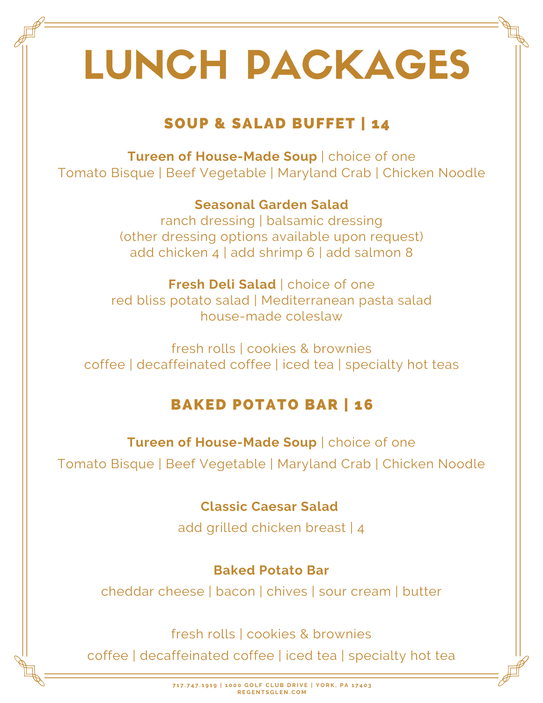# LUNCH PACKAGES

# SOUP & SALAD BUFFET | 14

**Tureen of House-Made Soup** | choice of one Tomato Bisque | Beef Vegetable | Maryland Crab | Chicken Noodle

> **Seasonal Garden Salad** ranch dressing | balsamic dressing (other dressing options available upon request) add chicken 4 | add shrimp 6 | add salmon 8

**Fresh Deli Salad** | choice of one red bliss potato salad | Mediterranean pasta salad house-made coleslaw

fresh rolls | cookies & brownies coffee | decaffeinated coffee | iced tea | specialty hot teas

# BAKED POTATO BAR | 16

**Tureen of House-Made Soup** | choice of one

Tomato Bisque | Beef Vegetable | Maryland Crab | Chicken Noodle

# **Classic Caesar Salad**

add grilled chicken breast | 4

## **Baked Potato Bar**

cheddar cheese | bacon | chives | sour cream | butter

fresh rolls | cookies & brownies

coffee | decaffeinated coffee | iced tea | specialty hot tea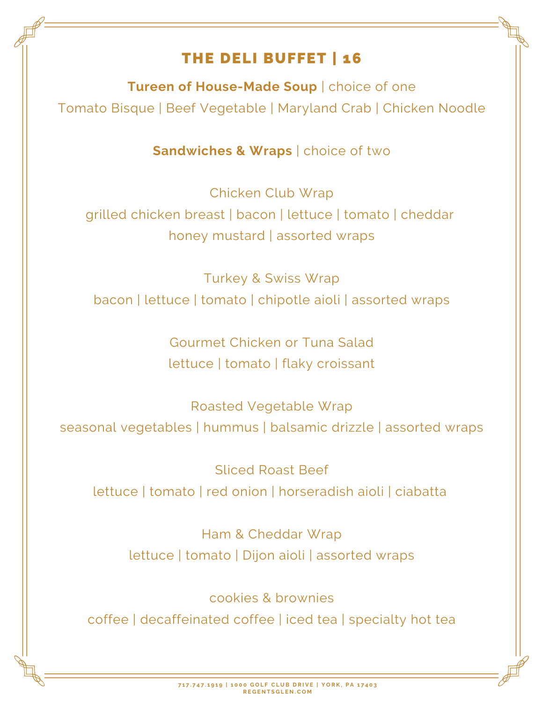# THE DELI BUFFET | 16

**Tureen of House-Made Soup** | choice of one Tomato Bisque | Beef Vegetable | Maryland Crab | Chicken Noodle

**Sandwiches & Wraps** | choice of two

Chicken Club Wrap grilled chicken breast | bacon | lettuce | tomato | cheddar honey mustard | assorted wraps

Turkey & Swiss Wrap bacon | lettuce | tomato | chipotle aioli | assorted wraps

> Gourmet Chicken or Tuna Salad lettuce | tomato | flaky croissant

Roasted Vegetable Wrap seasonal vegetables | hummus | balsamic drizzle | assorted wraps

Sliced Roast Beef lettuce | tomato | red onion | horseradish aioli | ciabatta

> Ham & Cheddar Wrap lettuce | tomato | Dijon aioli | assorted wraps

> > cookies & brownies

coffee | decaffeinated coffee | iced tea | specialty hot tea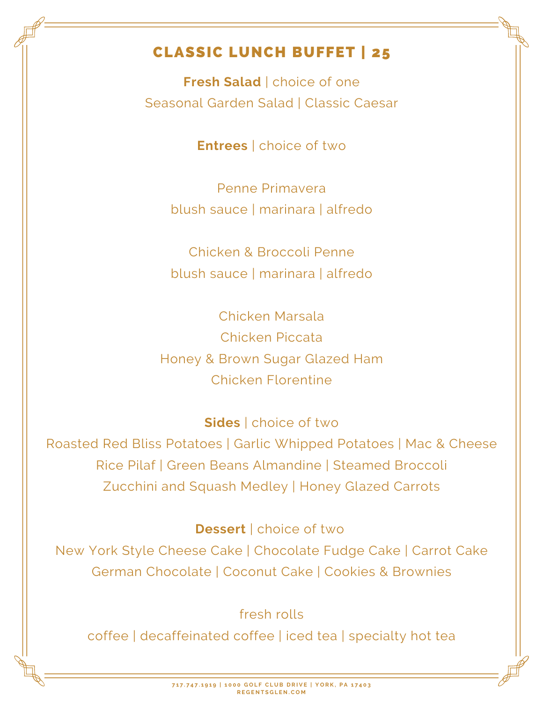# CLASSIC LUNCH BUFFET | 25

**Fresh Salad** | choice of one Seasonal Garden Salad | Classic Caesar

**Entrees** | choice of two

Penne Primavera blush sauce | marinara | alfredo

Chicken & Broccoli Penne blush sauce | marinara | alfredo

Chicken Marsala Chicken Piccata Honey & Brown Sugar Glazed Ham Chicken Florentine

**Sides** | choice of two

Roasted Red Bliss Potatoes | Garlic Whipped Potatoes | Mac & Cheese Rice Pilaf | Green Beans Almandine | Steamed Broccoli Zucchini and Squash Medley | Honey Glazed Carrots

**Dessert** | choice of two

New York Style Cheese Cake | Chocolate Fudge Cake | Carrot Cake German Chocolate | Coconut Cake | Cookies & Brownies

fresh rolls

coffee | decaffeinated coffee | iced tea | specialty hot tea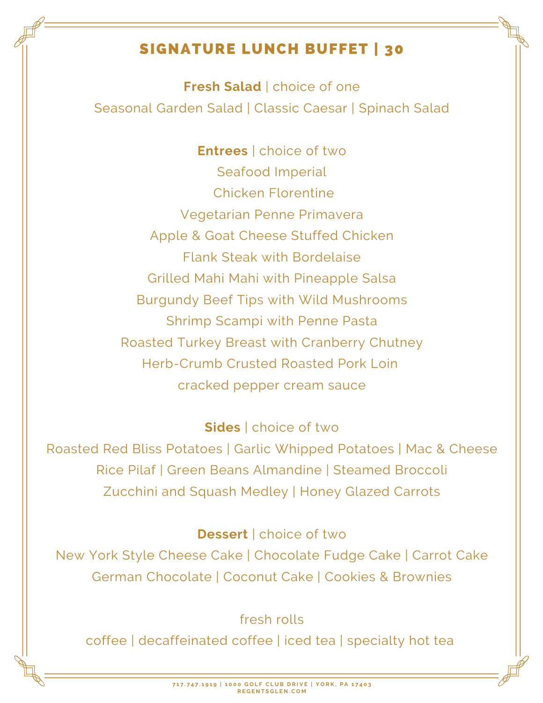# SIGNATURE LUNCH BUFFET | 30

**Fresh Salad** | choice of one Seasonal Garden Salad | Classic Caesar | Spinach Salad

**Entrees** | choice of two Seafood Imperial Chicken Florentine Vegetarian Penne Primavera Apple & Goat Cheese Stuffed Chicken Flank Steak with Bordelaise Grilled Mahi Mahi with Pineapple Salsa Burgundy Beef Tips with Wild Mushrooms Shrimp Scampi with Penne Pasta Roasted Turkey Breast with Cranberry Chutney Herb-Crumb Crusted Roasted Pork Loin cracked pepper cream sauce

#### **Sides** | choice of two

Roasted Red Bliss Potatoes | Garlic Whipped Potatoes | Mac & Cheese Rice Pilaf | Green Beans Almandine | Steamed Broccoli Zucchini and Squash Medley | Honey Glazed Carrots

#### **Dessert** | choice of two

New York Style Cheese Cake | Chocolate Fudge Cake | Carrot Cake German Chocolate | Coconut Cake | Cookies & Brownies

### fresh rolls

coffee | decaffeinated coffee | iced tea | specialty hot tea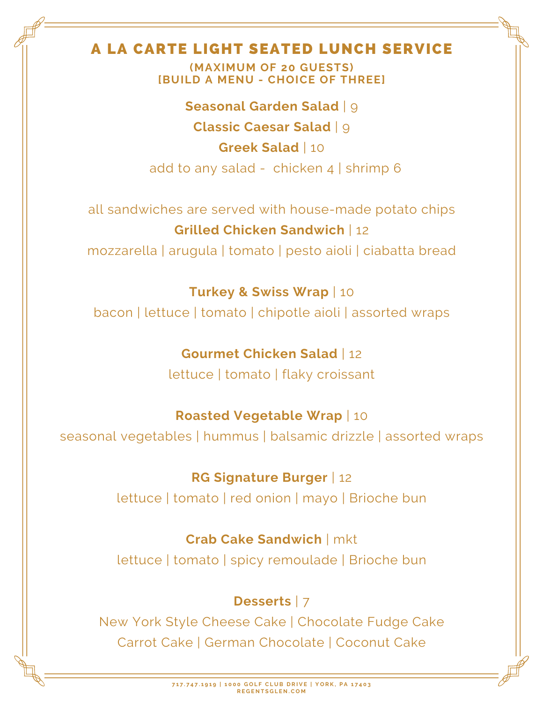## A LA CARTE LIGHT SEATED LUNCH SERVICE

**(MAXIMUM OF 20 GUESTS) [BUILD A MENU - CHOICE OF THREE]**

**Seasonal Garden Salad** | 9 **Classic Caesar Salad** | 9 **Greek Salad** | 10 add to any salad - chicken 4 | shrimp 6

all sandwiches are served with house-made potato chips **Grilled Chicken Sandwich** | 12 mozzarella | arugula | tomato | pesto aioli | ciabatta bread

**Turkey & Swiss Wrap** | 10 bacon | lettuce | tomato | chipotle aioli | assorted wraps

> **Gourmet Chicken Salad** | 12 lettuce | tomato | flaky croissant

#### **Roasted Vegetable Wrap** | 10

seasonal vegetables | hummus | balsamic drizzle | assorted wraps

**RG Signature Burger** | 12

lettuce | tomato | red onion | mayo | Brioche bun

#### **Crab Cake Sandwich** | mkt

lettuce | tomato | spicy remoulade | Brioche bun

#### **Desserts** | 7

New York Style Cheese Cake | Chocolate Fudge Cake Carrot Cake | German Chocolate | Coconut Cake